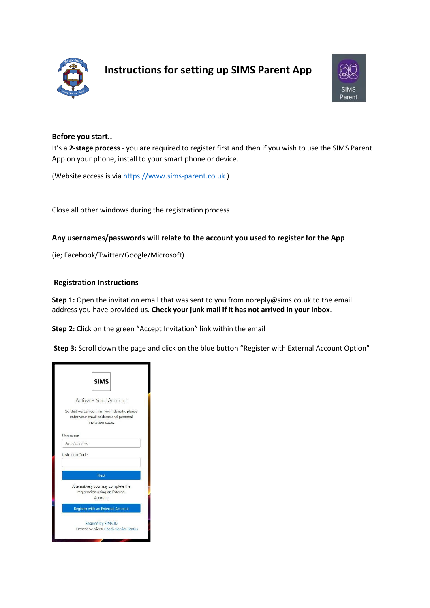

# **Instructions for setting up SIMS Parent App**



## **Before you start..**

It's a **2-stage process** - you are required to register first and then if you wish to use the SIMS Parent App on your phone, install to your smart phone or device.

(Website access is vi[a https://www.sims-parent.co.uk](https://www.sims-parent.co.uk/) )

Close all other windows during the registration process

## **Any usernames/passwords will relate to the account you used to register for the App**

(ie; Facebook/Twitter/Google/Microsoft)

#### **Registration Instructions**

**Step 1:** Open the invitation email that was sent to you from noreply@sims.co.uk to the email address you have provided us. **Check your junk mail if it has not arrived in your Inbox**.

**Step 2:** Click on the green "Accept Invitation" link within the email

**Step 3:** Scroll down the page and click on the blue button "Register with External Account Option"

| <b>SIMS</b>                                                                                               |  |
|-----------------------------------------------------------------------------------------------------------|--|
| Activate Your Account                                                                                     |  |
| So that we can confirm your identity, please<br>enter your email address and personal<br>invitation code. |  |
| Username                                                                                                  |  |
| Email address                                                                                             |  |
| Invitation Code                                                                                           |  |
| Next                                                                                                      |  |
| Alternatively you may complete the<br>registration using an External<br>Account.                          |  |
| Register with an External Account                                                                         |  |
| Secured by SIMS ID                                                                                        |  |
| <b>Hosted Services: Check Service Status</b>                                                              |  |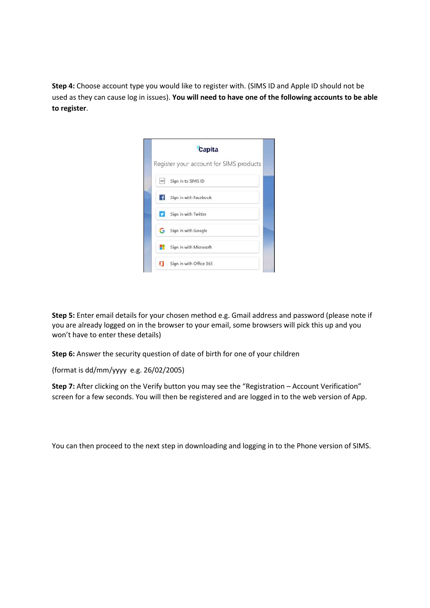**Step 4:** Choose account type you would like to register with. (SIMS ID and Apple ID should not be used as they can cause log in issues). **You will need to have one of the following accounts to be able to register**.

|               | Capita                                  |  |
|---------------|-----------------------------------------|--|
|               | Register your account for SIMS products |  |
| $\frac{1}{2}$ | Sign in to SIMS ID                      |  |
| ΙfΙ           | Sign in with Facebook                   |  |
| ø             | Sign in with Twitter                    |  |
|               | Sign in with Google                     |  |
|               | Sign in with Microsoft                  |  |
| О             | Sign in with Office 365                 |  |

**Step 5:** Enter email details for your chosen method e.g. Gmail address and password (please note if you are already logged on in the browser to your email, some browsers will pick this up and you won't have to enter these details)

**Step 6:** Answer the security question of date of birth for one of your children

(format is dd/mm/yyyy e.g. 26/02/2005)

**Step 7:** After clicking on the Verify button you may see the "Registration – Account Verification" screen for a few seconds. You will then be registered and are logged in to the web version of App.

You can then proceed to the next step in downloading and logging in to the Phone version of SIMS.